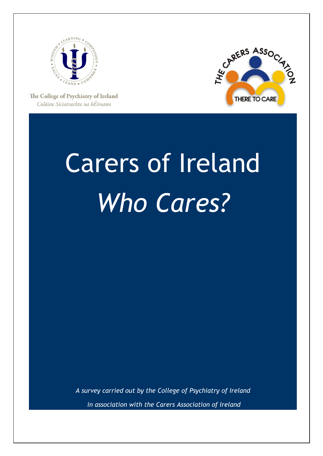



The College of Psychiatry of Ireland Coláiste Síciatrachta na hÉireann

# Carers of Ireland *Who Cares?*

*A survey carried out by the College of Psychiatry of Ireland in association with the Carers Association of Ireland*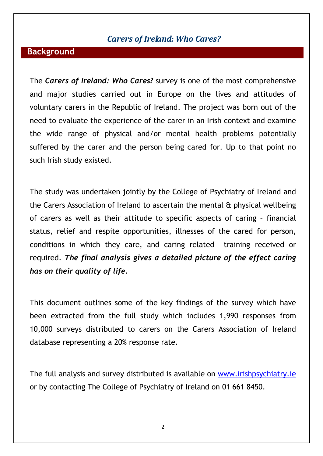#### *Carers of Ireland: Who Cares?*

#### **Background**

The *Carers of Ireland: Who Cares?* survey is one of the most comprehensive and major studies carried out in Europe on the lives and attitudes of voluntary carers in the Republic of Ireland. The project was born out of the need to evaluate the experience of the carer in an Irish context and examine the wide range of physical and/or mental health problems potentially suffered by the carer and the person being cared for. Up to that point no such Irish study existed.

The study was undertaken jointly by the College of Psychiatry of Ireland and the Carers Association of Ireland to ascertain the mental & physical wellbeing of carers as well as their attitude to specific aspects of caring – financial status, relief and respite opportunities, illnesses of the cared for person, conditions in which they care, and caring related training received or required. *The final analysis gives a detailed picture of the effect caring has on their quality of life.*

This document outlines some of the key findings of the survey which have been extracted from the full study which includes 1,990 responses from 10,000 surveys distributed to carers on the Carers Association of Ireland database representing a 20% response rate.

The full analysis and survey distributed is available on [www.irishpsychiatry.ie](http://www.irishpsychiatry.ie/) or by contacting The College of Psychiatry of Ireland on 01 661 8450.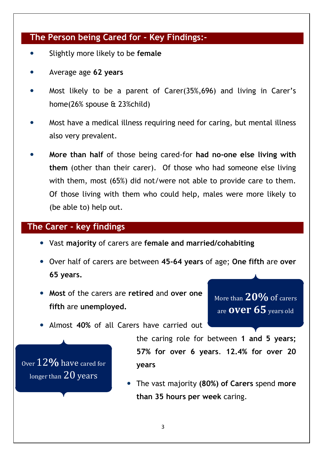#### **The Person being Cared for - Key Findings:-**

- Slightly more likely to be **female**
- Average age **62 years**
- Most likely to be a parent of Carer(35%,696) and living in Carer's home(26% spouse & 23%child)
- Most have a medical illness requiring need for caring, but mental illness also very prevalent.
- **More than half** of those being cared-for **had no-one else living with them** (other than their carer). Of those who had someone else living with them, most (65%) did not/were not able to provide care to them. Of those living with them who could help, males were more likely to (be able to) help out.

#### **The Carer - key findings**

- Vast **majority** of carers are **female and married/cohabiting**
- Over half of carers are between **45-64 years** of age; **One fifth** are **over 65 years.**
- **Most** of the carers are **retired** and **over one fifth** are **unemployed.**

More than **20%** of carers are **over 65** years old

Almost **40%** of all Carers have carried out



the caring role for between **1 and 5 years; 57% for over 6 years**. **12.4% for over 20 years**

 The vast majority **(80%) of Carers** spend **more than 35 hours per week** caring.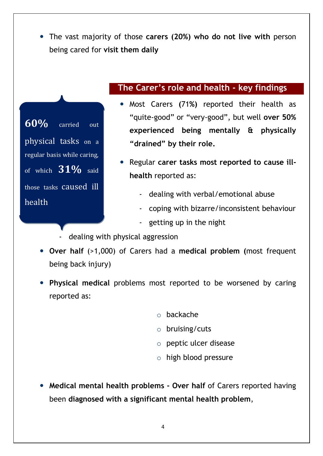The vast majority of those **carers (20%) who do not live with** person being cared for **visit them daily**



#### **The Carer's role and health - key findings**

- Most Carers **(**71**%)** reported their health as "quite-good" or "very-good", but well **over 50% experienced being mentally & physically "drained" by their role.**
- Regular **carer tasks most reported to cause illhealth** reported as:
	- dealing with verbal/emotional abuse
	- coping with bizarre/inconsistent behaviour
	- getting up in the night
- dealing with physical aggression
- **Over half** (>1,000) of Carers had a **medical problem (**most frequent being back injury)
- **Physical medical** problems most reported to be worsened by caring reported as:
	- o backache
	- o bruising/cuts
	- o peptic ulcer disease
	- o high blood pressure
- **Medical mental health problems - Over half** of Carers reported having been **diagnosed with a significant mental health problem**,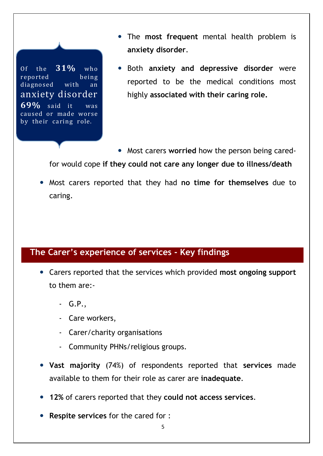Of the **31%** who reported being diagnosed with an anxiety disorder **69%** said it was caused or made worse by their caring role.

- The **most frequent** mental health problem is **anxiety disorder**.
- Both **anxiety and depressive disorder** were reported to be the medical conditions most highly **associated with their caring role.**

 Most carers **worried** how the person being caredfor would cope **if they could not care any longer due to illness/death**

 Most carers reported that they had **no time for themselves** due to caring.

### **The Carer's experience of services - Key findings**

- Carers reported that the services which provided **most ongoing support** to them are:-
	- G.P.,
	- Care workers,
	- Carer/charity organisations
	- Community PHNs/religious groups.
- **Vast majority** (74%) of respondents reported that **services** made available to them for their role as carer are **inadequate**.
- **12%** of carers reported that they **could not access services**.
- **Respite services** for the cared for :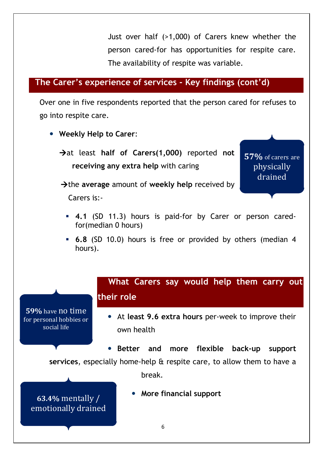Just over half (>1,000) of Carers knew whether the person cared-for has opportunities for respite care. The availability of respite was variable.

#### **The Carer's experience of services - Key findings (cont'd)**

Over one in five respondents reported that the person cared for refuses to go into respite care.

- **Weekly Help to Carer**:
	- $\rightarrow$  at least half of Carers(1,000) reported not **receiving any extra help** with caring

**57%** of carers are physically drained

 $\rightarrow$  the **average** amount of **weekly** help received by

Carers is:-

- **4.1** (SD 11.3) hours is paid-for by Carer or person caredfor(median 0 hours)
- **6.8** (SD 10.0) hours is free or provided by others (median 4 hours).

## 6  **What Carers say would help them carry out their role** At **least 9.6 extra hours** per-week to improve their own health **Better and more flexible back-up support services**, especially home-help & respite care, to allow them to have a break. **More financial support 63.4%** mentally / emotionally drained **59%** have no time for personal hobbies or social life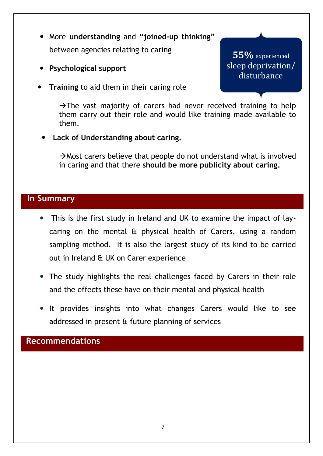- More **understanding** and **"joined-up thinking"** between agencies relating to caring
- **Psychological support**
- **Training** to aid them in their caring role

**55%** experienced sleep deprivation/ disturbance

 $\rightarrow$ The vast majority of carers had never received training to help them carry out their role and would like training made available to them.

**Lack of Understanding about caring.**

 $\rightarrow$  Most carers believe that people do not understand what is involved in caring and that there **should be more publicity about caring.**

#### **In Summary**

- This is the first study in Ireland and UK to examine the impact of laycaring on the mental & physical health of Carers, using a random sampling method. It is also the largest study of its kind to be carried out in Ireland & UK on Carer experience
- The study highlights the real challenges faced by Carers in their role and the effects these have on their mental and physical health
- It provides insights into what changes Carers would like to see addressed in present & future planning of services

**Recommendations**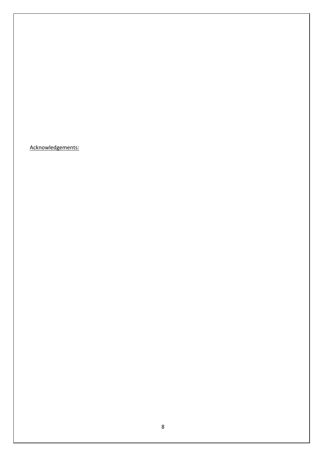Acknowledgements: